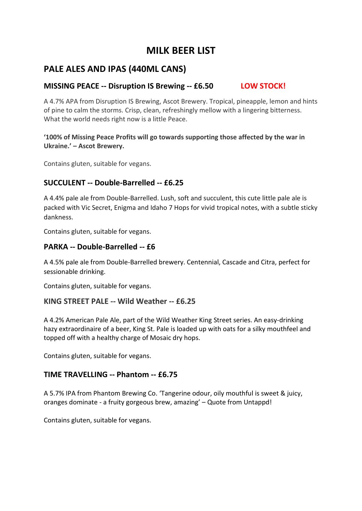# **MILK BEER LIST**

## **PALE ALES AND IPAS (440ML CANS)**

### **MISSING PEACE -- Disruption IS Brewing -- £6.50 LOW STOCK!**

A 4.7% APA from Disruption IS Brewing, Ascot Brewery. Tropical, pineapple, lemon and hints of pine to calm the storms. Crisp, clean, refreshingly mellow with a lingering bitterness. What the world needs right now is a little Peace.

#### **'100% of Missing Peace Profits will go towards supporting those affected by the war in Ukraine.' – Ascot Brewery.**

Contains gluten, suitable for vegans.

#### **SUCCULENT -- Double-Barrelled -- £6.25**

A 4.4% pale ale from Double-Barrelled. Lush, soft and succulent, this cute little pale ale is packed with Vic Secret, Enigma and Idaho 7 Hops for vivid tropical notes, with a subtle sticky dankness.

Contains gluten, suitable for vegans.

#### **PARKA -- Double-Barrelled -- £6**

A 4.5% pale ale from Double-Barrelled brewery. Centennial, Cascade and Citra, perfect for sessionable drinking.

Contains gluten, suitable for vegans.

#### **KING STREET PALE -- Wild Weather -- £6.25**

A 4.2% American Pale Ale, part of the Wild Weather King Street series. An easy-drinking hazy extraordinaire of a beer, King St. Pale is loaded up with oats for a silky mouthfeel and topped off with a healthy charge of Mosaic dry hops.

Contains gluten, suitable for vegans.

#### **TIME TRAVELLING -- Phantom -- £6.75**

A 5.7% IPA from Phantom Brewing Co. 'Tangerine odour, oily mouthful is sweet & juicy, oranges dominate - a fruity gorgeous brew, amazing' – Quote from Untappd!

Contains gluten, suitable for vegans.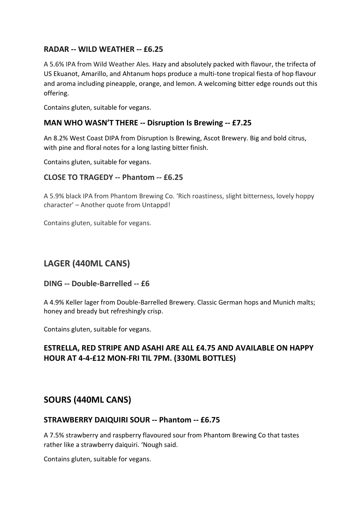#### **RADAR -- WILD WEATHER -- £6.25**

A 5.6% IPA from Wild Weather Ales. Hazy and absolutely packed with flavour, the trifecta of US Ekuanot, Amarillo, and Ahtanum hops produce a multi-tone tropical fiesta of hop flavour and aroma including pineapple, orange, and lemon. A welcoming bitter edge rounds out this offering.

Contains gluten, suitable for vegans.

#### **MAN WHO WASN'T THERE -- Disruption Is Brewing -- £7.25**

An 8.2% West Coast DIPA from Disruption Is Brewing, Ascot Brewery. Big and bold citrus, with pine and floral notes for a long lasting bitter finish.

Contains gluten, suitable for vegans.

#### **CLOSE TO TRAGEDY -- Phantom -- £6.25**

A 5.9% black IPA from Phantom Brewing Co. 'Rich roastiness, slight bitterness, lovely hoppy character' – Another quote from Untappd!

Contains gluten, suitable for vegans.

## **LAGER (440ML CANS)**

#### **DING -- Double-Barrelled -- £6**

A 4.9% Keller lager from Double-Barrelled Brewery. Classic German hops and Munich malts; honey and bready but refreshingly crisp.

Contains gluten, suitable for vegans.

### **ESTRELLA, RED STRIPE AND ASAHI ARE ALL £4.75 AND AVAILABLE ON HAPPY HOUR AT 4-4-£12 MON-FRI TIL 7PM. (330ML BOTTLES)**

### **SOURS (440ML CANS)**

#### **STRAWBERRY DAIQUIRI SOUR -- Phantom -- £6.75**

A 7.5% strawberry and raspberry flavoured sour from Phantom Brewing Co that tastes rather like a strawberry daiquiri. 'Nough said.

Contains gluten, suitable for vegans.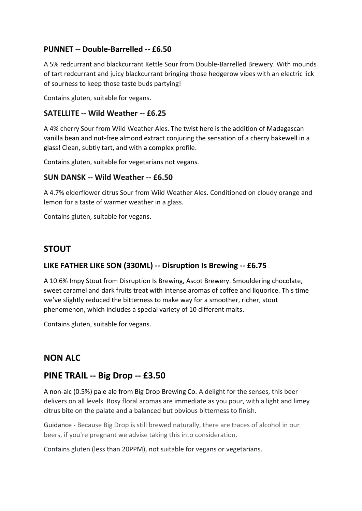### **PUNNET -- Double-Barrelled -- £6.50**

A 5% redcurrant and blackcurrant Kettle Sour from Double-Barrelled Brewery. With mounds of tart redcurrant and juicy blackcurrant bringing those hedgerow vibes with an electric lick of sourness to keep those taste buds partying!

Contains gluten, suitable for vegans.

#### **SATELLITE -- Wild Weather -- £6.25**

A 4% cherry Sour from Wild Weather Ales. The twist here is the addition of Madagascan vanilla bean and nut-free almond extract conjuring the sensation of a cherry bakewell in a glass! Clean, subtly tart, and with a complex profile.

Contains gluten, suitable for vegetarians not vegans.

#### **SUN DANSK -- Wild Weather -- £6.50**

A 4.7% elderflower citrus Sour from Wild Weather Ales. Conditioned on cloudy orange and lemon for a taste of warmer weather in a glass.

Contains gluten, suitable for vegans.

### **STOUT**

#### **LIKE FATHER LIKE SON (330ML) -- Disruption Is Brewing -- £6.75**

A 10.6% Impy Stout from Disruption Is Brewing, Ascot Brewery. Smouldering chocolate, sweet caramel and dark fruits treat with intense aromas of coffee and liquorice. This time we've slightly reduced the bitterness to make way for a smoother, richer, stout phenomenon, which includes a special variety of 10 different malts.

Contains gluten, suitable for vegans.

### **NON ALC**

### **PINE TRAIL -- Big Drop -- £3.50**

A non-alc (0.5%) pale ale from Big Drop Brewing Co. A delight for the senses, this beer delivers on all levels. Rosy floral aromas are immediate as you pour, with a light and limey citrus bite on the palate and a balanced but obvious bitterness to finish.

Guidance - Because Big Drop is still brewed naturally, there are traces of alcohol in our beers, if you're pregnant we advise taking this into consideration.

Contains gluten (less than 20PPM), not suitable for vegans or vegetarians.